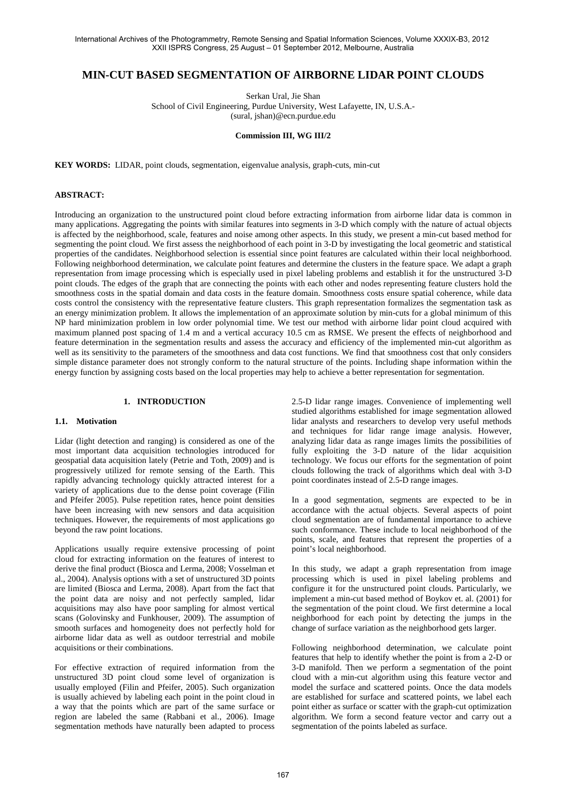## **MIN-CUT BASED SEGMENTATION OF AIRBORNE LIDAR POINT CLOUDS**

Serkan Ural, Jie Shan School of Civil Engineering, Purdue University, West Lafayette, IN, U.S.A.- (sural, jshan)@ecn.purdue.edu

## **Commission III, WG III/2**

**KEY WORDS:** LIDAR, point clouds, segmentation, eigenvalue analysis, graph-cuts, min-cut

## **ABSTRACT:**

Introducing an organization to the unstructured point cloud before extracting information from airborne lidar data is common in many applications. Aggregating the points with similar features into segments in 3-D which comply with the nature of actual objects is affected by the neighborhood, scale, features and noise among other aspects. In this study, we present a min-cut based method for segmenting the point cloud. We first assess the neighborhood of each point in 3-D by investigating the local geometric and statistical properties of the candidates. Neighborhood selection is essential since point features are calculated within their local neighborhood. Following neighborhood determination, we calculate point features and determine the clusters in the feature space. We adapt a graph representation from image processing which is especially used in pixel labeling problems and establish it for the unstructured 3-D point clouds. The edges of the graph that are connecting the points with each other and nodes representing feature clusters hold the smoothness costs in the spatial domain and data costs in the feature domain. Smoothness costs ensure spatial coherence, while data costs control the consistency with the representative feature clusters. This graph representation formalizes the segmentation task as an energy minimization problem. It allows the implementation of an approximate solution by min-cuts for a global minimum of this NP hard minimization problem in low order polynomial time. We test our method with airborne lidar point cloud acquired with maximum planned post spacing of 1.4 m and a vertical accuracy 10.5 cm as RMSE. We present the effects of neighborhood and feature determination in the segmentation results and assess the accuracy and efficiency of the implemented min-cut algorithm as well as its sensitivity to the parameters of the smoothness and data cost functions. We find that smoothness cost that only considers simple distance parameter does not strongly conform to the natural structure of the points. Including shape information within the energy function by assigning costs based on the local properties may help to achieve a better representation for segmentation.

## **1. INTRODUCTION**

## **1.1. Motivation**

Lidar (light detection and ranging) is considered as one of the most important data acquisition technologies introduced for geospatial data acquisition lately (Petrie and Toth, 2009) and is progressively utilized for remote sensing of the Earth. This rapidly advancing technology quickly attracted interest for a variety of applications due to the dense point coverage (Filin and Pfeifer 2005). Pulse repetition rates, hence point densities have been increasing with new sensors and data acquisition techniques. However, the requirements of most applications go beyond the raw point locations.

Applications usually require extensive processing of point cloud for extracting information on the features of interest to derive the final product (Biosca and Lerma, 2008; Vosselman et al., 2004). Analysis options with a set of unstructured 3D points are limited (Biosca and Lerma, 2008). Apart from the fact that the point data are noisy and not perfectly sampled, lidar acquisitions may also have poor sampling for almost vertical scans (Golovinsky and Funkhouser, 2009). The assumption of smooth surfaces and homogeneity does not perfectly hold for airborne lidar data as well as outdoor terrestrial and mobile acquisitions or their combinations.

For effective extraction of required information from the unstructured 3D point cloud some level of organization is usually employed (Filin and Pfeifer, 2005). Such organization is usually achieved by labeling each point in the point cloud in a way that the points which are part of the same surface or region are labeled the same (Rabbani et al., 2006). Image segmentation methods have naturally been adapted to process

2.5-D lidar range images. Convenience of implementing well studied algorithms established for image segmentation allowed lidar analysts and researchers to develop very useful methods and techniques for lidar range image analysis. However, analyzing lidar data as range images limits the possibilities of fully exploiting the 3-D nature of the lidar acquisition technology. We focus our efforts for the segmentation of point clouds following the track of algorithms which deal with 3-D point coordinates instead of 2.5-D range images.

In a good segmentation, segments are expected to be in accordance with the actual objects. Several aspects of point cloud segmentation are of fundamental importance to achieve such conformance. These include to local neighborhood of the points, scale, and features that represent the properties of a point's local neighborhood.

In this study, we adapt a graph representation from image processing which is used in pixel labeling problems and configure it for the unstructured point clouds. Particularly, we implement a min-cut based method of Boykov et. al. (2001) for the segmentation of the point cloud. We first determine a local neighborhood for each point by detecting the jumps in the change of surface variation as the neighborhood gets larger.

Following neighborhood determination, we calculate point features that help to identify whether the point is from a 2-D or 3-D manifold. Then we perform a segmentation of the point cloud with a min-cut algorithm using this feature vector and model the surface and scattered points. Once the data models are established for surface and scattered points, we label each point either as surface or scatter with the graph-cut optimization algorithm. We form a second feature vector and carry out a segmentation of the points labeled as surface.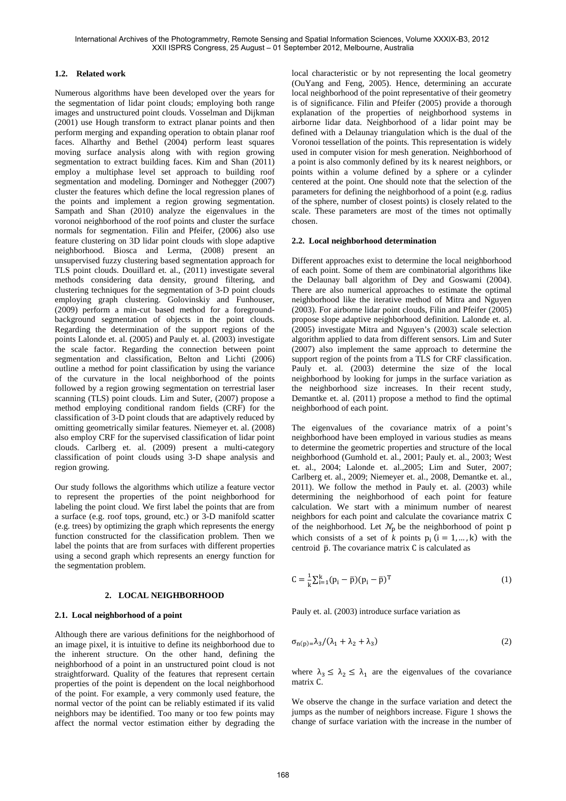## **1.2. Related work**

Numerous algorithms have been developed over the years for the segmentation of lidar point clouds; employing both range images and unstructured point clouds. Vosselman and Dijkman (2001) use Hough transform to extract planar points and then perform merging and expanding operation to obtain planar roof faces. Alharthy and Bethel (2004) perform least squares moving surface analysis along with with region growing segmentation to extract building faces. Kim and Shan (2011) employ a multiphase level set approach to building roof segmentation and modeling. Dorninger and Nothegger (2007) cluster the features which define the local regression planes of the points and implement a region growing segmentation. Sampath and Shan (2010) analyze the eigenvalues in the voronoi neighborhood of the roof points and cluster the surface normals for segmentation. Filin and Pfeifer, (2006) also use feature clustering on 3D lidar point clouds with slope adaptive neighborhood. Biosca and Lerma, (2008) present an unsupervised fuzzy clustering based segmentation approach for TLS point clouds. Douillard et. al., (2011) investigate several methods considering data density, ground filtering, and clustering techniques for the segmentation of 3-D point clouds employing graph clustering. Golovinskiy and Funhouser, (2009) perform a min-cut based method for a foregroundbackground segmentation of objects in the point clouds. Regarding the determination of the support regions of the points Lalonde et. al. (2005) and Pauly et. al. (2003) investigate the scale factor. Regarding the connection between point segmentation and classification, Belton and Lichti (2006) outline a method for point classification by using the variance of the curvature in the local neighborhood of the points followed by a region growing segmentation on terrestrial laser scanning (TLS) point clouds. Lim and Suter, (2007) propose a method employing conditional random fields (CRF) for the classification of 3-D point clouds that are adaptively reduced by omitting geometrically similar features. Niemeyer et. al. (2008) also employ CRF for the supervised classification of lidar point clouds. Carlberg et. al. (2009) present a multi-category classification of point clouds using 3-D shape analysis and region growing.

Our study follows the algorithms which utilize a feature vector to represent the properties of the point neighborhood for labeling the point cloud. We first label the points that are from a surface (e.g. roof tops, ground, etc.) or 3-D manifold scatter (e.g. trees) by optimizing the graph which represents the energy function constructed for the classification problem. Then we label the points that are from surfaces with different properties using a second graph which represents an energy function for the segmentation problem.

## **2. LOCAL NEIGHBORHOOD**

## **2.1. Local neighborhood of a point**

Although there are various definitions for the neighborhood of an image pixel, it is intuitive to define its neighborhood due to the inherent structure. On the other hand, defining the neighborhood of a point in an unstructured point cloud is not straightforward. Quality of the features that represent certain properties of the point is dependent on the local neighborhood of the point. For example, a very commonly used feature, the normal vector of the point can be reliably estimated if its valid neighbors may be identified. Too many or too few points may affect the normal vector estimation either by degrading the

local characteristic or by not representing the local geometry (OuYang and Feng, 2005). Hence, determining an accurate local neighborhood of the point representative of their geometry is of significance. Filin and Pfeifer (2005) provide a thorough explanation of the properties of neighborhood systems in airborne lidar data. Neighborhood of a lidar point may be defined with a Delaunay triangulation which is the dual of the Voronoi tessellation of the points. This representation is widely used in computer vision for mesh generation. Neighborhood of a point is also commonly defined by its k nearest neighbors, or points within a volume defined by a sphere or a cylinder centered at the point. One should note that the selection of the parameters for defining the neighborhood of a point (e.g. radius of the sphere, number of closest points) is closely related to the scale. These parameters are most of the times not optimally chosen.

## **2.2. Local neighborhood determination**

Different approaches exist to determine the local neighborhood of each point. Some of them are combinatorial algorithms like the Delaunay ball algorithm of Dey and Goswami (2004). There are also numerical approaches to estimate the optimal neighborhood like the iterative method of Mitra and Nguyen (2003). For airborne lidar point clouds, Filin and Pfeifer (2005) propose slope adaptive neighborhood definition. Lalonde et. al. (2005) investigate Mitra and Nguyen's (2003) scale selection algorithm applied to data from different sensors. Lim and Suter (2007) also implement the same approach to determine the support region of the points from a TLS for CRF classification. Pauly et. al. (2003) determine the size of the local neighborhood by looking for jumps in the surface variation as the neighborhood size increases. In their recent study, Demantke et. al. (2011) propose a method to find the optimal neighborhood of each point.

The eigenvalues of the covariance matrix of a point's neighborhood have been employed in various studies as means to determine the geometric properties and structure of the local neighborhood (Gumhold et. al., 2001; Pauly et. al., 2003; West et. al., 2004; Lalonde et. al.,2005; Lim and Suter, 2007; Carlberg et. al., 2009; Niemeyer et. al., 2008, Demantke et. al., 2011). We follow the method in Pauly et. al. (2003) while determining the neighborhood of each point for feature calculation. We start with a minimum number of nearest neighbors for each point and calculate the covariance matrix C of the neighborhood. Let  $\mathcal{N}_p$  be the neighborhood of point p which consists of a set of *k* points  $p_i$  ( $i = 1, ..., k$ ) with the centroid  $\bar{p}$ . The covariance matrix C is calculated as

$$
C = \frac{1}{k} \sum_{i=1}^{k} (p_i - \bar{p})(p_i - \bar{p})^T
$$
 (1)

Pauly et. al. (2003) introduce surface variation as

$$
\sigma_{n(p)=\lambda_3}/(\lambda_1 + \lambda_2 + \lambda_3)
$$
 (2)

where  $\lambda_3 \leq \lambda_2 \leq \lambda_1$  are the eigenvalues of the covariance matrix C.

We observe the change in the surface variation and detect the jumps as the number of neighbors increase. Figure 1 shows the change of surface variation with the increase in the number of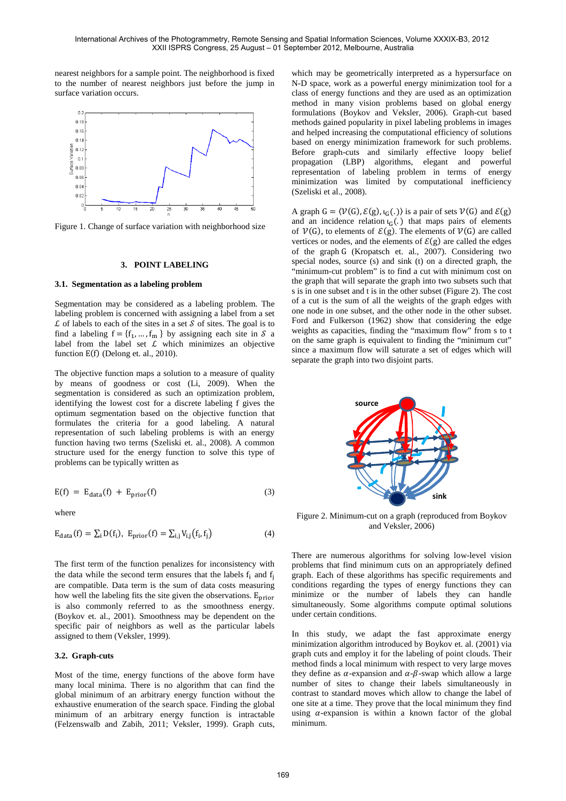nearest neighbors for a sample point. The neighborhood is fixed to the number of nearest neighbors just before the jump in surface variation occurs.



Figure 1. Change of surface variation with neighborhood size

## **3. POINT LABELING**

#### **3.1. Segmentation as a labeling problem**

Segmentation may be considered as a labeling problem. The labeling problem is concerned with assigning a label from a set  $\mathcal L$  of labels to each of the sites in a set  $\mathcal S$  of sites. The goal is to find a labeling  $f = \{f_1, ..., f_m\}$  by assigning each site in S a label from the label set  $L$  which minimizes an objective function  $E(f)$  (Delong et. al., 2010).

The objective function maps a solution to a measure of quality by means of goodness or cost (Li, 2009). When the segmentation is considered as such an optimization problem, identifying the lowest cost for a discrete labeling f gives the optimum segmentation based on the objective function that formulates the criteria for a good labeling. A natural representation of such labeling problems is with an energy function having two terms (Szeliski et. al., 2008). A common structure used for the energy function to solve this type of problems can be typically written as

$$
E(f) = E_{data}(f) + E_{prior}(f)
$$
\n(3)

where

$$
E_{\text{data}}(f) = \sum_{i} D(f_i), \ E_{\text{prior}}(f) = \sum_{i,j} V_{i,j}(f_i, f_j)
$$
(4)

The first term of the function penalizes for inconsistency with the data while the second term ensures that the labels  $f_i$  and  $f_j$ are compatible. Data term is the sum of data costs measuring how well the labeling fits the site given the observations.  $E_{prior}$ is also commonly referred to as the smoothness energy. (Boykov et. al., 2001). Smoothness may be dependent on the specific pair of neighbors as well as the particular labels assigned to them (Veksler, 1999).

## **3.2. Graph-cuts**

Most of the time, energy functions of the above form have many local minima. There is no algorithm that can find the global minimum of an arbitrary energy function without the exhaustive enumeration of the search space. Finding the global minimum of an arbitrary energy function is intractable (Felzenswalb and Zabih, 2011; Veksler, 1999). Graph cuts,

which may be geometrically interpreted as a hypersurface on N-D space, work as a powerful energy minimization tool for a class of energy functions and they are used as an optimization method in many vision problems based on global energy formulations (Boykov and Veksler, 2006). Graph-cut based methods gained popularity in pixel labeling problems in images and helped increasing the computational efficiency of solutions based on energy minimization framework for such problems. Before graph-cuts and similarly effective loopy belief propagation (LBP) algorithms, elegant and powerful representation of labeling problem in terms of energy minimization was limited by computational inefficiency (Szeliski et al., 2008).

A graph  $G = \langle V(G), \mathcal{E}(g), \iota_G(.) \rangle$  is a pair of sets  $V(G)$  and  $\mathcal{E}(g)$ and an incidence relation  $\iota$ <sub>G</sub>(.) that maps pairs of elements of  $V(G)$ , to elements of  $\mathcal{E}(g)$ . The elements of  $V(G)$  are called vertices or nodes, and the elements of  $\mathcal{E}(g)$  are called the edges of the graph G (Kropatsch et. al., 2007). Considering two special nodes, source (s) and sink (t) on a directed graph, the "minimum-cut problem" is to find a cut with minimum cost on the graph that will separate the graph into two subsets such that s is in one subset and t is in the other subset (Figure 2). The cost of a cut is the sum of all the weights of the graph edges with one node in one subset, and the other node in the other subset. Ford and Fulkerson (1962) show that considering the edge weights as capacities, finding the "maximum flow" from s to t on the same graph is equivalent to finding the "minimum cut" since a maximum flow will saturate a set of edges which will separate the graph into two disjoint parts.



Figure 2. Minimum-cut on a graph (reproduced from Boykov and Veksler, 2006)

There are numerous algorithms for solving low-level vision problems that find minimum cuts on an appropriately defined graph. Each of these algorithms has specific requirements and conditions regarding the types of energy functions they can minimize or the number of labels they can handle simultaneously. Some algorithms compute optimal solutions under certain conditions.

In this study, we adapt the fast approximate energy minimization algorithm introduced by Boykov et. al. (2001) via graph cuts and employ it for the labeling of point clouds. Their method finds a local minimum with respect to very large moves they define as  $\alpha$ -expansion and  $\alpha$ - $\beta$ -swap which allow a large number of sites to change their labels simultaneously in contrast to standard moves which allow to change the label of one site at a time. They prove that the local minimum they find using  $\alpha$ -expansion is within a known factor of the global minimum.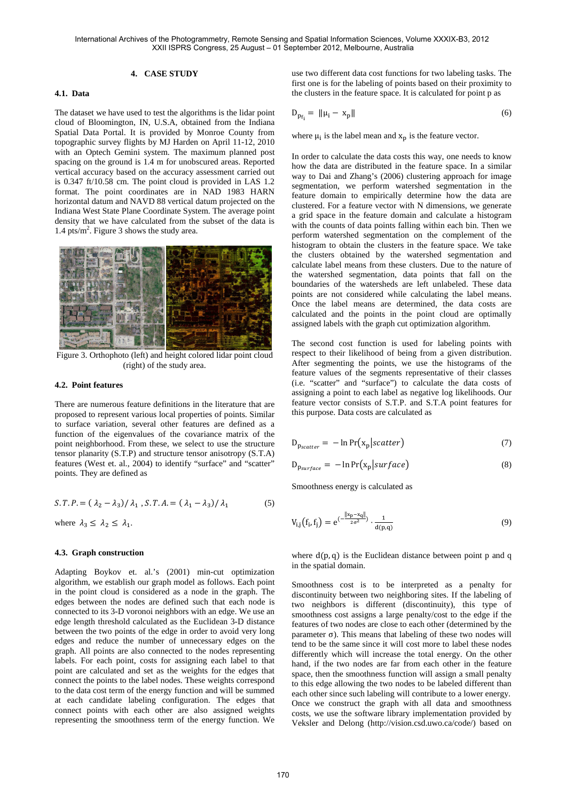## **4. CASE STUDY**

## **4.1. Data**

The dataset we have used to test the algorithms is the lidar point cloud of Bloomington, IN, U.S.A, obtained from the Indiana Spatial Data Portal. It is provided by Monroe County from topographic survey flights by MJ Harden on April 11-12, 2010 with an Optech Gemini system. The maximum planned post spacing on the ground is 1.4 m for unobscured areas. Reported vertical accuracy based on the accuracy assessment carried out is 0.347 ft/10.58 cm. The point cloud is provided in LAS 1.2 format. The point coordinates are in NAD 1983 HARN horizontal datum and NAVD 88 vertical datum projected on the Indiana West State Plane Coordinate System. The average point density that we have calculated from the subset of the data is  $1.4 \text{ pts/m}^2$ . Figure 3 shows the study area.



Figure 3. Orthophoto (left) and height colored lidar point cloud (right) of the study area.

## **4.2. Point features**

There are numerous feature definitions in the literature that are proposed to represent various local properties of points. Similar to surface variation, several other features are defined as a function of the eigenvalues of the covariance matrix of the point neighborhood. From these, we select to use the structure tensor planarity (S.T.P) and structure tensor anisotropy (S.T.A) features (West et. al., 2004) to identify "surface" and "scatter" points. They are defined as

$$
S.T.P. = (\lambda_2 - \lambda_3) / \lambda_1, S.T.A. = (\lambda_1 - \lambda_3) / \lambda_1
$$
 (5)  
where  $\lambda_3 \le \lambda_2 \le \lambda_1$ .

# **4.3. Graph construction**

Adapting Boykov et. al.'s (2001) min-cut optimization algorithm, we establish our graph model as follows. Each point in the point cloud is considered as a node in the graph. The edges between the nodes are defined such that each node is connected to its 3-D voronoi neighbors with an edge. We use an edge length threshold calculated as the Euclidean 3-D distance between the two points of the edge in order to avoid very long edges and reduce the number of unnecessary edges on the graph. All points are also connected to the nodes representing labels. For each point, costs for assigning each label to that point are calculated and set as the weights for the edges that connect the points to the label nodes. These weights correspond to the data cost term of the energy function and will be summed at each candidate labeling configuration. The edges that connect points with each other are also assigned weights representing the smoothness term of the energy function. We

use two different data cost functions for two labeling tasks. The first one is for the labeling of points based on their proximity to the clusters in the feature space. It is calculated for point p as

$$
D_{p_{f_i}} = \|\mu_i - x_p\| \tag{6}
$$

where  $\mu_i$  is the label mean and  $x_p$  is the feature vector.

In order to calculate the data costs this way, one needs to know how the data are distributed in the feature space. In a similar way to Dai and Zhang's (2006) clustering approach for image segmentation, we perform watershed segmentation in the feature domain to empirically determine how the data are clustered. For a feature vector with N dimensions, we generate a grid space in the feature domain and calculate a histogram with the counts of data points falling within each bin. Then we perform watershed segmentation on the complement of the histogram to obtain the clusters in the feature space. We take the clusters obtained by the watershed segmentation and calculate label means from these clusters. Due to the nature of the watershed segmentation, data points that fall on the boundaries of the watersheds are left unlabeled. These data points are not considered while calculating the label means. Once the label means are determined, the data costs are calculated and the points in the point cloud are optimally assigned labels with the graph cut optimization algorithm.

The second cost function is used for labeling points with respect to their likelihood of being from a given distribution. After segmenting the points, we use the histograms of the feature values of the segments representative of their classes (i.e. "scatter" and "surface") to calculate the data costs of assigning a point to each label as negative log likelihoods. Our feature vector consists of S.T.P. and S.T.A point features for this purpose. Data costs are calculated as

$$
D_{p_{scatter}} = -\ln \Pr(x_p | scatter)
$$
\n(7)

$$
D_{p_{\text{surface}}} = -\ln \Pr(x_p|\text{surface}) \tag{8}
$$

Smoothness energy is calculated as

$$
V_{i,j}(f_i, f_j) = e^{(-\frac{||x_p - x_q||}{2\sigma^2})} \cdot \frac{1}{d(p,q)}
$$
(9)

where  $d(p, q)$  is the Euclidean distance between point p and q in the spatial domain.

Smoothness cost is to be interpreted as a penalty for discontinuity between two neighboring sites. If the labeling of two neighbors is different (discontinuity), this type of smoothness cost assigns a large penalty/cost to the edge if the features of two nodes are close to each other (determined by the parameter σ). This means that labeling of these two nodes will tend to be the same since it will cost more to label these nodes differently which will increase the total energy. On the other hand, if the two nodes are far from each other in the feature space, then the smoothness function will assign a small penalty to this edge allowing the two nodes to be labeled different than each other since such labeling will contribute to a lower energy. Once we construct the graph with all data and smoothness costs, we use the software library implementation provided by Veksler and Delong (http://vision.csd.uwo.ca/code/) based on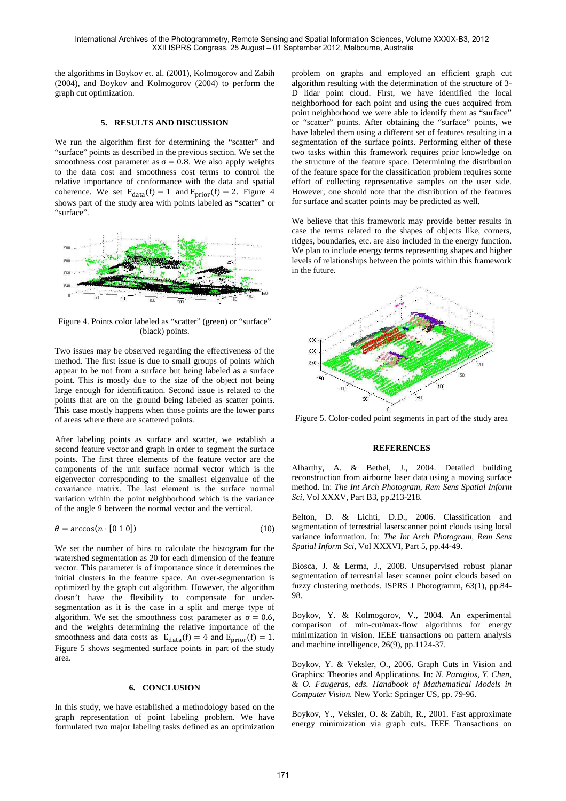the algorithms in Boykov et. al. (2001), Kolmogorov and Zabih (2004), and Boykov and Kolmogorov (2004) to perform the graph cut optimization.

## **5. RESULTS AND DISCUSSION**

We run the algorithm first for determining the "scatter" and "surface" points as described in the previous section. We set the smoothness cost parameter as  $\sigma = 0.8$ . We also apply weights to the data cost and smoothness cost terms to control the relative importance of conformance with the data and spatial coherence. We set  $E_{data}(f) = 1$  and  $E_{prior}(f) = 2$ . Figure 4 shows part of the study area with points labeled as "scatter" or "surface".



Figure 4. Points color labeled as "scatter" (green) or "surface" (black) points.

Two issues may be observed regarding the effectiveness of the method. The first issue is due to small groups of points which appear to be not from a surface but being labeled as a surface point. This is mostly due to the size of the object not being large enough for identification. Second issue is related to the points that are on the ground being labeled as scatter points. This case mostly happens when those points are the lower parts of areas where there are scattered points.

After labeling points as surface and scatter, we establish a second feature vector and graph in order to segment the surface points. The first three elements of the feature vector are the components of the unit surface normal vector which is the eigenvector corresponding to the smallest eigenvalue of the covariance matrix. The last element is the surface normal variation within the point neighborhood which is the variance of the angle  $\theta$  between the normal vector and the vertical.

$$
\theta = \arccos(n \cdot [0 \ 1 \ 0]) \tag{10}
$$

We set the number of bins to calculate the histogram for the watershed segmentation as 20 for each dimension of the feature vector. This parameter is of importance since it determines the initial clusters in the feature space. An over-segmentation is optimized by the graph cut algorithm. However, the algorithm doesn't have the flexibility to compensate for undersegmentation as it is the case in a split and merge type of algorithm. We set the smoothness cost parameter as  $\sigma = 0.6$ , and the weights determining the relative importance of the smoothness and data costs as  $E_{data}(f) = 4$  and  $E_{prior}(f) = 1$ . Figure 5 shows segmented surface points in part of the study area.

## **6. CONCLUSION**

In this study, we have established a methodology based on the graph representation of point labeling problem. We have formulated two major labeling tasks defined as an optimization

problem on graphs and employed an efficient graph cut algorithm resulting with the determination of the structure of 3- D lidar point cloud. First, we have identified the local neighborhood for each point and using the cues acquired from point neighborhood we were able to identify them as "surface" or "scatter" points. After obtaining the "surface" points, we have labeled them using a different set of features resulting in a segmentation of the surface points. Performing either of these two tasks within this framework requires prior knowledge on the structure of the feature space. Determining the distribution of the feature space for the classification problem requires some effort of collecting representative samples on the user side. However, one should note that the distribution of the features for surface and scatter points may be predicted as well.

We believe that this framework may provide better results in case the terms related to the shapes of objects like, corners, ridges, boundaries, etc. are also included in the energy function. We plan to include energy terms representing shapes and higher levels of relationships between the points within this framework in the future.



Figure 5. Color-coded point segments in part of the study area

## **REFERENCES**

Alharthy, A. & Bethel, J., 2004. Detailed building reconstruction from airborne laser data using a moving surface method. In: *The Int Arch Photogram, Rem Sens Spatial Inform Sci*, Vol XXXV, Part B3, pp.213-218.

Belton, D. & Lichti, D.D., 2006. Classification and segmentation of terrestrial laserscanner point clouds using local variance information. In: *The Int Arch Photogram, Rem Sens Spatial Inform Sci*, Vol XXXVI, Part 5, pp.44-49.

Biosca, J. & Lerma, J., 2008. Unsupervised robust planar segmentation of terrestrial laser scanner point clouds based on fuzzy clustering methods. ISPRS J Photogramm, 63(1), pp.84- 98.

Boykov, Y. & Kolmogorov, V., 2004. An experimental comparison of min-cut/max-flow algorithms for energy minimization in vision. IEEE transactions on pattern analysis and machine intelligence, 26(9), pp.1124-37.

Boykov, Y. & Veksler, O., 2006. Graph Cuts in Vision and Graphics: Theories and Applications. In: *N. Paragios, Y. Chen, & O. Faugeras, eds. Handbook of Mathematical Models in Computer Vision.* New York: Springer US, pp. 79-96.

Boykov, Y., Veksler, O. & Zabih, R., 2001. Fast approximate energy minimization via graph cuts. IEEE Transactions on